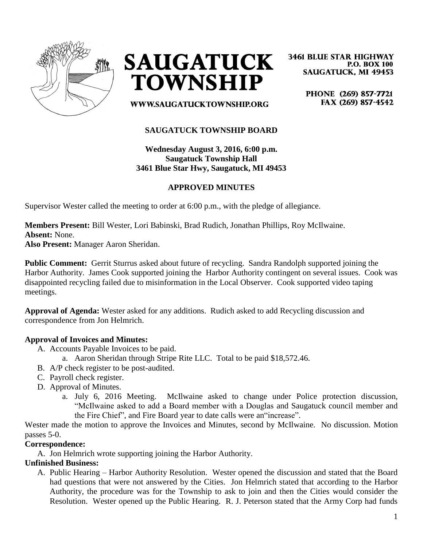



**3461 BLUE STAR HIGHWAY P.O. BOX 100 SAUGATUCK, MI 49453** 

> PHONE (269) 857-7721 FAX (269) 857-4542

WWW.SAUGATUCKTOWNSHIP.ORG

## **SAUGATUCK TOWNSHIP BOARD**

**Wednesday August 3, 2016, 6:00 p.m. Saugatuck Township Hall 3461 Blue Star Hwy, Saugatuck, MI 49453**

## **APPROVED MINUTES**

Supervisor Wester called the meeting to order at 6:00 p.m., with the pledge of allegiance.

**Members Present:** Bill Wester, Lori Babinski, Brad Rudich, Jonathan Phillips, Roy McIlwaine. **Absent:** None.

**Also Present:** Manager Aaron Sheridan.

**Public Comment:** Gerrit Sturrus asked about future of recycling. Sandra Randolph supported joining the Harbor Authority. James Cook supported joining the Harbor Authority contingent on several issues. Cook was disappointed recycling failed due to misinformation in the Local Observer. Cook supported video taping meetings.

**Approval of Agenda:** Wester asked for any additions. Rudich asked to add Recycling discussion and correspondence from Jon Helmrich.

#### **Approval of Invoices and Minutes:**

- A. Accounts Payable Invoices to be paid.
	- a. Aaron Sheridan through Stripe Rite LLC. Total to be paid \$18,572.46.
- B. A/P check register to be post-audited.
- C. Payroll check register.
- D. Approval of Minutes.
	- a. July 6, 2016 Meeting. McIlwaine asked to change under Police protection discussion, "McIlwaine asked to add a Board member with a Douglas and Saugatuck council member and the Fire Chief", and Fire Board year to date calls were an"increase".

Wester made the motion to approve the Invoices and Minutes, second by McIlwaine. No discussion. Motion passes 5-0.

#### **Correspondence:**

A. Jon Helmrich wrote supporting joining the Harbor Authority.

#### **Unfinished Business:**

A. Public Hearing – Harbor Authority Resolution. Wester opened the discussion and stated that the Board had questions that were not answered by the Cities. Jon Helmrich stated that according to the Harbor Authority, the procedure was for the Township to ask to join and then the Cities would consider the Resolution. Wester opened up the Public Hearing. R. J. Peterson stated that the Army Corp had funds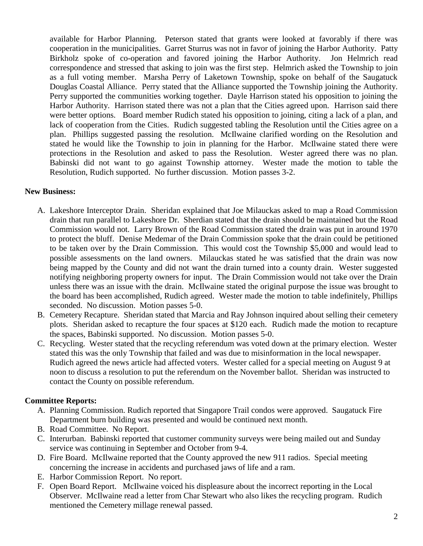available for Harbor Planning. Peterson stated that grants were looked at favorably if there was cooperation in the municipalities. Garret Sturrus was not in favor of joining the Harbor Authority. Patty Birkholz spoke of co-operation and favored joining the Harbor Authority. Jon Helmrich read correspondence and stressed that asking to join was the first step. Helmrich asked the Township to join as a full voting member. Marsha Perry of Laketown Township, spoke on behalf of the Saugatuck Douglas Coastal Alliance. Perry stated that the Alliance supported the Township joining the Authority. Perry supported the communities working together. Dayle Harrison stated his opposition to joining the Harbor Authority. Harrison stated there was not a plan that the Cities agreed upon. Harrison said there were better options. Board member Rudich stated his opposition to joining, citing a lack of a plan, and lack of cooperation from the Cities. Rudich suggested tabling the Resolution until the Cities agree on a plan. Phillips suggested passing the resolution. McIlwaine clarified wording on the Resolution and stated he would like the Township to join in planning for the Harbor. McIlwaine stated there were protections in the Resolution and asked to pass the Resolution. Wester agreed there was no plan. Babinski did not want to go against Township attorney. Wester made the motion to table the Resolution, Rudich supported. No further discussion. Motion passes 3-2.

#### **New Business:**

- A. Lakeshore Interceptor Drain. Sheridan explained that Joe Milauckas asked to map a Road Commission drain that run parallel to Lakeshore Dr. Sherdian stated that the drain should be maintained but the Road Commission would not. Larry Brown of the Road Commission stated the drain was put in around 1970 to protect the bluff. Denise Medemar of the Drain Commission spoke that the drain could be petitioned to be taken over by the Drain Commission. This would cost the Township \$5,000 and would lead to possible assessments on the land owners. Milauckas stated he was satisfied that the drain was now being mapped by the County and did not want the drain turned into a county drain. Wester suggested notifying neighboring property owners for input. The Drain Commission would not take over the Drain unless there was an issue with the drain. McIlwaine stated the original purpose the issue was brought to the board has been accomplished, Rudich agreed. Wester made the motion to table indefinitely, Phillips seconded. No discussion. Motion passes 5-0.
- B. Cemetery Recapture. Sheridan stated that Marcia and Ray Johnson inquired about selling their cemetery plots. Sheridan asked to recapture the four spaces at \$120 each. Rudich made the motion to recapture the spaces, Babinski supported. No discussion. Motion passes 5-0.
- C. Recycling. Wester stated that the recycling referendum was voted down at the primary election. Wester stated this was the only Township that failed and was due to misinformation in the local newspaper. Rudich agreed the news article had affected voters. Wester called for a special meeting on August 9 at noon to discuss a resolution to put the referendum on the November ballot. Sheridan was instructed to contact the County on possible referendum.

# **Committee Reports:**

- A. Planning Commission. Rudich reported that Singapore Trail condos were approved. Saugatuck Fire Department burn building was presented and would be continued next month.
- B. Road Committee. No Report.
- C. Interurban. Babinski reported that customer community surveys were being mailed out and Sunday service was continuing in September and October from 9-4.
- D. Fire Board. McIlwaine reported that the County approved the new 911 radios. Special meeting concerning the increase in accidents and purchased jaws of life and a ram.
- E. Harbor Commission Report. No report.
- F. Open Board Report. McIlwaine voiced his displeasure about the incorrect reporting in the Local Observer. McIlwaine read a letter from Char Stewart who also likes the recycling program. Rudich mentioned the Cemetery millage renewal passed.